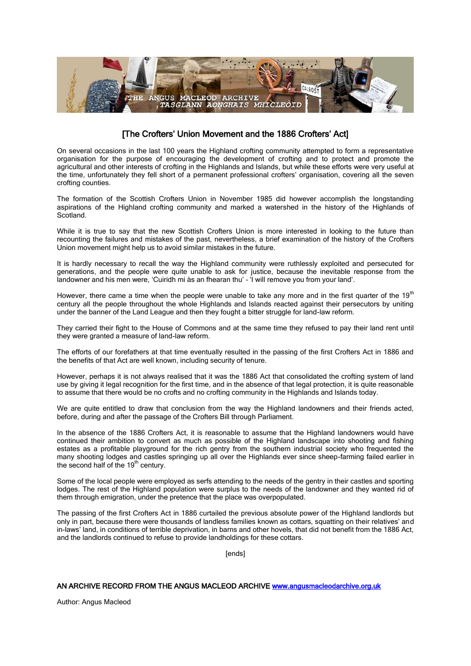

## [The Crofters' Union Movement and the 1886 Crofters' Act]

On several occasions in the last 100 years the Highland crofting community attempted to form a representative organisation for the purpose of encouraging the development of crofting and to protect and promote the agricultural and other interests of crofting in the Highlands and Islands, but while these efforts were very useful at the time, unfortunately they fell short of a permanent professional crofters' organisation, covering all the seven crofting counties.

The formation of the Scottish Crofters Union in November 1985 did however accomplish the longstanding aspirations of the Highland crofting community and marked a watershed in the history of the Highlands of Scotland.

While it is true to say that the new Scottish Crofters Union is more interested in looking to the future than recounting the failures and mistakes of the past, nevertheless, a brief examination of the history of the Crofters Union movement might help us to avoid similar mistakes in the future.

It is hardly necessary to recall the way the Highland community were ruthlessly exploited and persecuted for generations, and the people were quite unable to ask for justice, because the inevitable response from the landowner and his men were, 'Cuiridh mi às an fhearan thu' – 'I will remove you from your land'.

However, there came a time when the people were unable to take any more and in the first quarter of the  $19<sup>th</sup>$ century all the people throughout the whole Highlands and Islands reacted against their persecutors by uniting under the banner of the Land League and then they fought a bitter struggle for land-law reform.

They carried their fight to the House of Commons and at the same time they refused to pay their land rent until they were granted a measure of land-law reform.

The efforts of our forefathers at that time eventually resulted in the passing of the first Crofters Act in 1886 and the benefits of that Act are well known, including security of tenure.

However, perhaps it is not always realised that it was the 1886 Act that consolidated the crofting system of land use by giving it legal recognition for the first time, and in the absence of that legal protection, it is quite reasonable to assume that there would be no crofts and no crofting community in the Highlands and Islands today.

We are quite entitled to draw that conclusion from the way the Highland landowners and their friends acted, before, during and after the passage of the Crofters Bill through Parliament.

In the absence of the 1886 Crofters Act, it is reasonable to assume that the Highland landowners would have continued their ambition to convert as much as possible of the Highland landscape into shooting and fishing estates as a profitable playground for the rich gentry from the southern industrial society who frequented the many shooting lodges and castles springing up all over the Highlands ever since sheep-farming failed earlier in the second half of the 19<sup>th</sup> century.

Some of the local people were employed as serfs attending to the needs of the gentry in their castles and sporting lodges. The rest of the Highland population were surplus to the needs of the landowner and they wanted rid of them through emigration, under the pretence that the place was overpopulated.

The passing of the first Crofters Act in 1886 curtailed the previous absolute power of the Highland landlords but only in part, because there were thousands of landless families known as cottars, squatting on their relatives' and in-laws' land, in conditions of terrible deprivation, in barns and other hovels, that did not benefit from the 1886 Act, and the landlords continued to refuse to provide landholdings for these cottars.

[ends]

## AN ARCHIVE RECORD FROM THE ANGUS MACLEOD ARCHIVE [www.angusmacleodarchive.org.uk](http://www.angusmacleodarchive.org.uk/)

Author: Angus Macleod